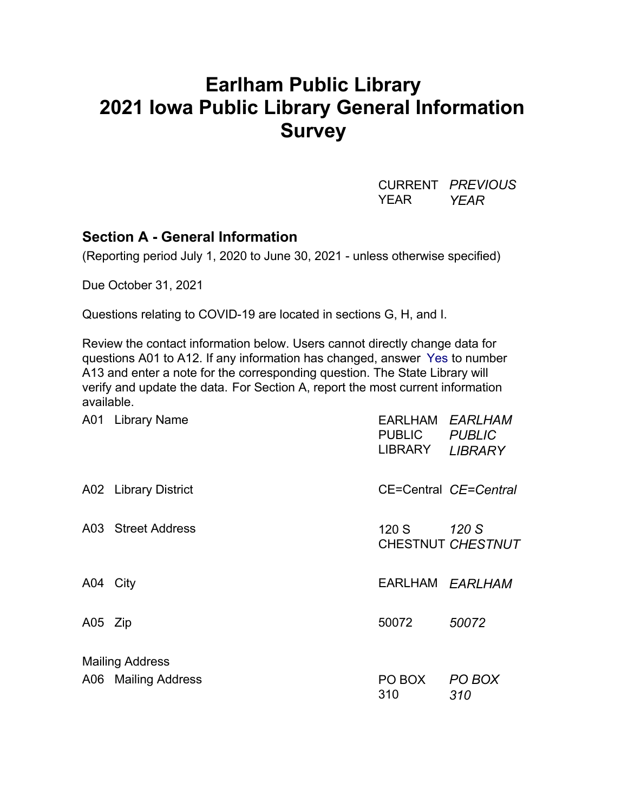# **Earlham Public Library 2021 Iowa Public Library General Information Survey**

CURRENT *PREVIOUS* YEAR *YEAR*

## **Section A - General Information**

(Reporting period July 1, 2020 to June 30, 2021 - unless otherwise specified)

Due October 31, 2021

Questions relating to COVID-19 are located in sections G, H, and I.

Review the contact information below. Users cannot directly change data for questions A01 to A12. If any information has changed, answer Yes to number A13 and enter a note for the corresponding question. The State Library will verify and update the data. For Section A, report the most current information available.

|          | A01 Library Name       | EARLHAM <i>EARLHAM</i><br><b>PUBLIC</b><br>LIBRARY | <b>PUBLIC</b><br><b>LIBRARY</b> |  |  |
|----------|------------------------|----------------------------------------------------|---------------------------------|--|--|
|          | A02 Library District   |                                                    | CE=Central CE=Central           |  |  |
|          | A03 Street Address     | 120 S                                              | 120 S<br>CHESTNUT CHESTNUT      |  |  |
| A04 City |                        | EARLHAM EARLHAM                                    |                                 |  |  |
| A05 Zip  |                        | 50072                                              | 50072                           |  |  |
|          | <b>Mailing Address</b> |                                                    |                                 |  |  |
|          | A06 Mailing Address    | PO BOX<br>310                                      | PO BOX<br>310                   |  |  |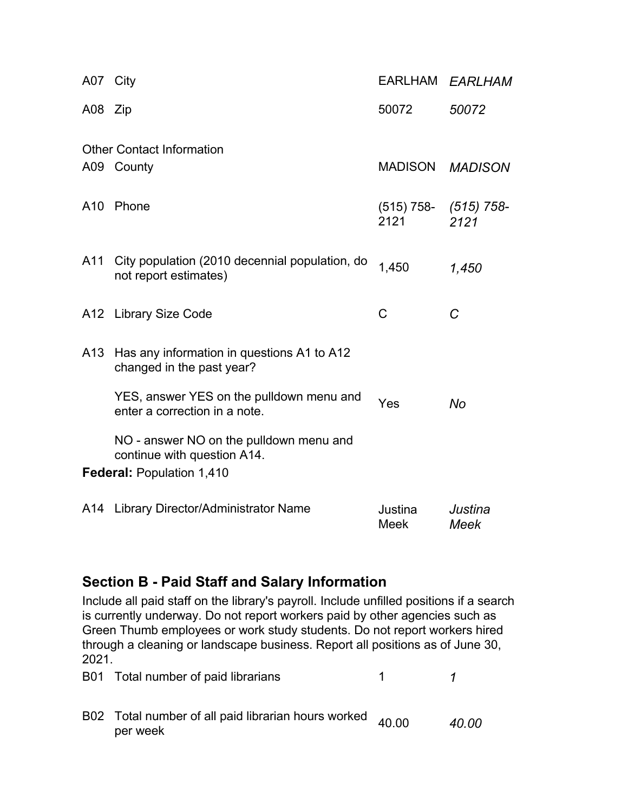| A07 City |                                                                           |                                   | EARLHAM EARLHAM |
|----------|---------------------------------------------------------------------------|-----------------------------------|-----------------|
| A08 Zip  |                                                                           | 50072                             | 50072           |
|          | <b>Other Contact Information</b>                                          |                                   |                 |
|          | A09 County                                                                | MADISON MADISON                   |                 |
| A10      | Phone                                                                     | $(515)$ 758- $(515)$ 758-<br>2121 | 2121            |
| A11      | City population (2010 decennial population, do<br>not report estimates)   | 1,450                             | 1,450           |
|          | A12 Library Size Code                                                     | C                                 | C               |
| A13      | Has any information in questions A1 to A12<br>changed in the past year?   |                                   |                 |
|          | YES, answer YES on the pulldown menu and<br>enter a correction in a note. | Yes                               | <b>No</b>       |
|          | NO - answer NO on the pulldown menu and<br>continue with question A14.    |                                   |                 |
|          | <b>Federal: Population 1,410</b>                                          |                                   |                 |
|          | A14 Library Director/Administrator Name                                   | Justina<br>Meek                   | Justina<br>Meek |

## **Section B - Paid Staff and Salary Information**

Include all paid staff on the library's payroll. Include unfilled positions if a search is currently underway. Do not report workers paid by other agencies such as Green Thumb employees or work study students. Do not report workers hired through a cleaning or landscape business. Report all positions as of June 30, 2021.

| B01 Total number of paid librarians                                   |       |
|-----------------------------------------------------------------------|-------|
| B02 Total number of all paid librarian hours worked 40.00<br>per week | 40.00 |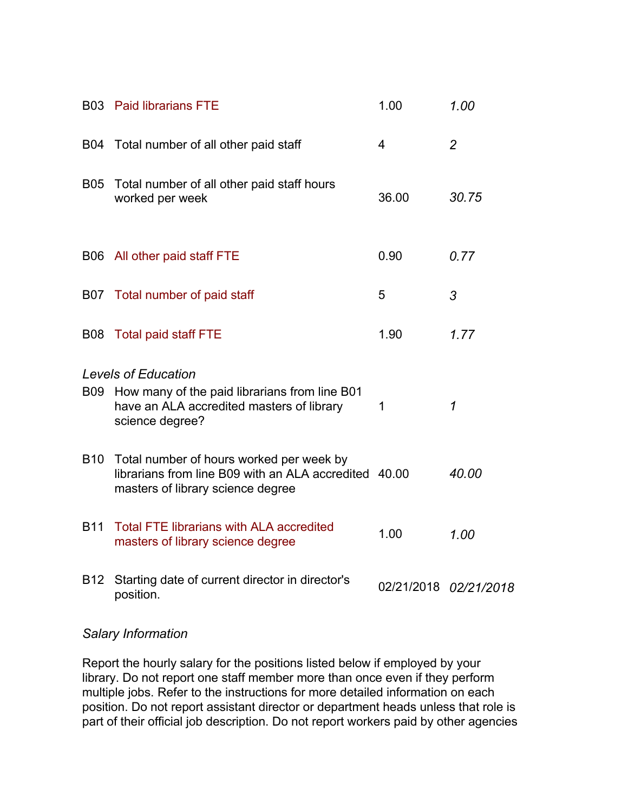|            | <b>B03</b> Paid librarians FTE                                                                                                         | 1.00  | 1.00                  |
|------------|----------------------------------------------------------------------------------------------------------------------------------------|-------|-----------------------|
|            | B04 Total number of all other paid staff                                                                                               | 4     | $\overline{2}$        |
| <b>B05</b> | Total number of all other paid staff hours<br>worked per week                                                                          | 36.00 | 30.75                 |
|            | B06 All other paid staff FTE                                                                                                           | 0.90  | 0.77                  |
|            | B07 Total number of paid staff                                                                                                         | 5     | 3                     |
| <b>B08</b> | <b>Total paid staff FTE</b>                                                                                                            | 1.90  | 1.77                  |
|            | <b>Levels of Education</b>                                                                                                             |       |                       |
|            | B09 How many of the paid librarians from line B01<br>have an ALA accredited masters of library<br>science degree?                      | 1     | 1                     |
| <b>B10</b> | Total number of hours worked per week by<br>librarians from line B09 with an ALA accredited 40.00<br>masters of library science degree |       | 40.00                 |
| <b>B11</b> | <b>Total FTE librarians with ALA accredited</b><br>masters of library science degree                                                   | 1.00  | 1.00                  |
| <b>B12</b> | Starting date of current director in director's<br>position.                                                                           |       | 02/21/2018 02/21/2018 |
|            |                                                                                                                                        |       |                       |

#### *Salary Information*

Report the hourly salary for the positions listed below if employed by your library. Do not report one staff member more than once even if they perform multiple jobs. Refer to the instructions for more detailed information on each position. Do not report assistant director or department heads unless that role is part of their official job description. Do not report workers paid by other agencies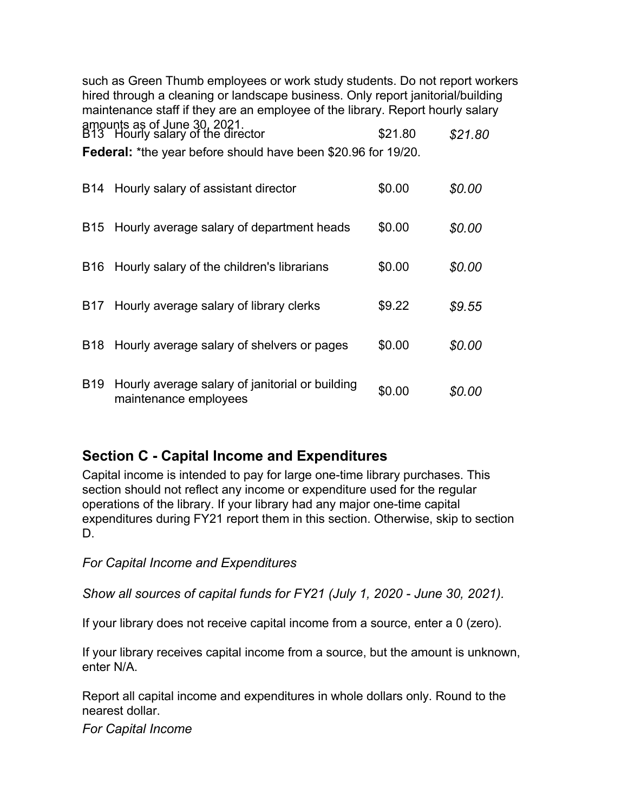such as Green Thumb employees or work study students. Do not report workers hired through a cleaning or landscape business. Only report janitorial/building maintenance staff if they are an employee of the library. Report hourly salary amounts as of June 30, 2021. B13 Hourly salary of the director \$21.80 *\$21.80* **Federal:** \*the year before should have been \$20.96 for 19/20. B14 Hourly salary of assistant director \$0.00 *\$0.00* B15 Hourly average salary of department heads \$0.00 *\$0.00* B16 Hourly salary of the children's librarians  $$0.00$   $$0.00$ B17 Hourly average salary of library clerks \$9.22 *\$9.55* B18 Hourly average salary of shelvers or pages \$0.00 *\$0.00* B19 Hourly average salary of janitorial or building maintenance employees<br>maintenance employees

# **Section C - Capital Income and Expenditures**

Capital income is intended to pay for large one-time library purchases. This section should not reflect any income or expenditure used for the regular operations of the library. If your library had any major one-time capital expenditures during FY21 report them in this section. Otherwise, skip to section D.

*For Capital Income and Expenditures*

*Show all sources of capital funds for FY21 (July 1, 2020 - June 30, 2021).*

If your library does not receive capital income from a source, enter a 0 (zero).

If your library receives capital income from a source, but the amount is unknown, enter N/A.

Report all capital income and expenditures in whole dollars only. Round to the nearest dollar.

*For Capital Income*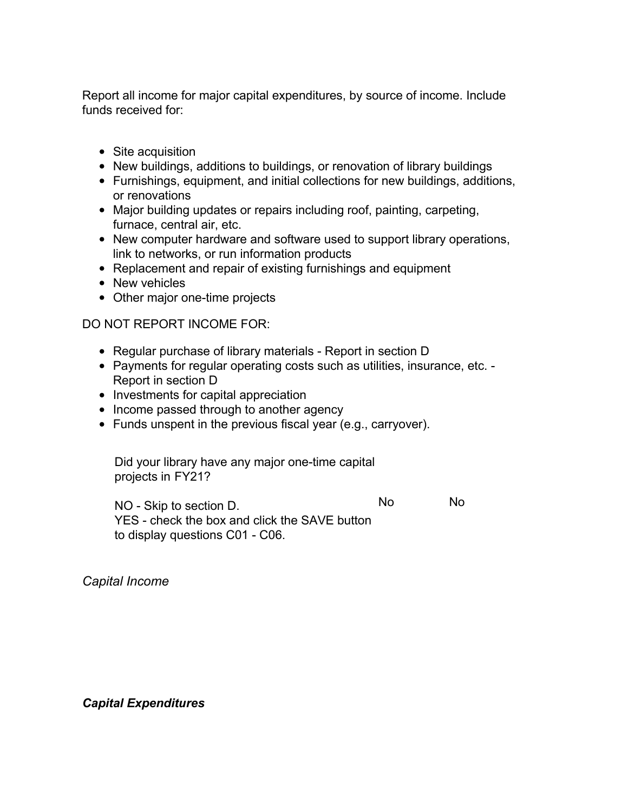Report all income for major capital expenditures, by source of income. Include funds received for:

- Site acquisition
- New buildings, additions to buildings, or renovation of library buildings
- Furnishings, equipment, and initial collections for new buildings, additions, or renovations
- Major building updates or repairs including roof, painting, carpeting, furnace, central air, etc.
- New computer hardware and software used to support library operations, link to networks, or run information products
- Replacement and repair of existing furnishings and equipment
- New vehicles
- Other major one-time projects

### DO NOT REPORT INCOME FOR:

- Regular purchase of library materials Report in section D
- Payments for regular operating costs such as utilities, insurance, etc. Report in section D
- Investments for capital appreciation
- Income passed through to another agency
- Funds unspent in the previous fiscal year (e.g., carryover).

Did your library have any major one-time capital projects in FY21?

NO - Skip to section D. YES - check the box and click the SAVE button to display questions C01 - C06. No No

*Capital Income*

*Capital Expenditures*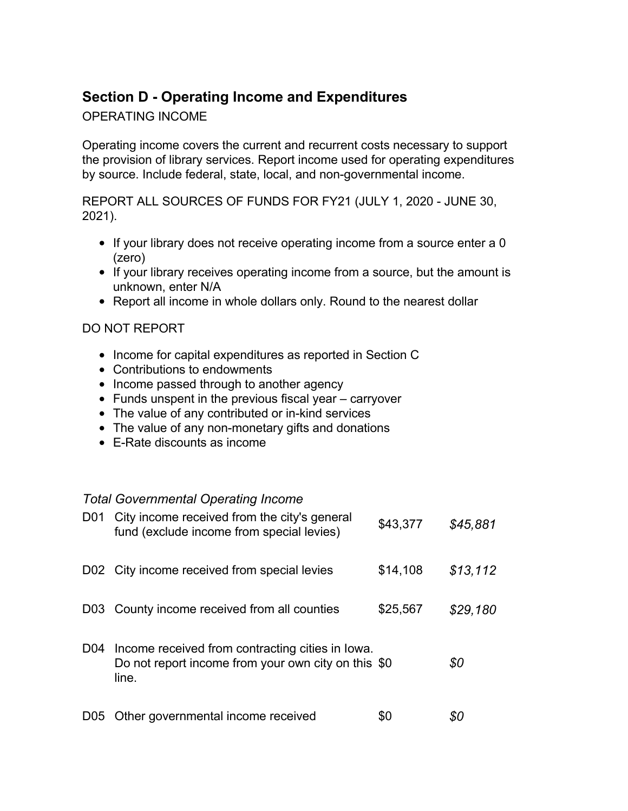# **Section D - Operating Income and Expenditures**

OPERATING INCOME

Operating income covers the current and recurrent costs necessary to support the provision of library services. Report income used for operating expenditures by source. Include federal, state, local, and non-governmental income.

REPORT ALL SOURCES OF FUNDS FOR FY21 (JULY 1, 2020 - JUNE 30, 2021).

- If your library does not receive operating income from a source enter a 0 (zero)
- If your library receives operating income from a source, but the amount is unknown, enter N/A
- Report all income in whole dollars only. Round to the nearest dollar

## DO NOT REPORT

- Income for capital expenditures as reported in Section C
- Contributions to endowments
- Income passed through to another agency
- Funds unspent in the previous fiscal year carryover
- The value of any contributed or in-kind services
- The value of any non-monetary gifts and donations
- E-Rate discounts as income

## *Total Governmental Operating Income*

| D01              | City income received from the city's general<br>fund (exclude income from special levies)                        | \$43,377 | \$45,881 |
|------------------|------------------------------------------------------------------------------------------------------------------|----------|----------|
|                  | D02 City income received from special levies                                                                     | \$14,108 | \$13,112 |
| D <sub>0</sub> 3 | County income received from all counties                                                                         | \$25,567 | \$29,180 |
| D <sub>04</sub>  | Income received from contracting cities in lowa.<br>Do not report income from your own city on this \$0<br>line. |          | \$0      |
| D05              | Other governmental income received                                                                               |          |          |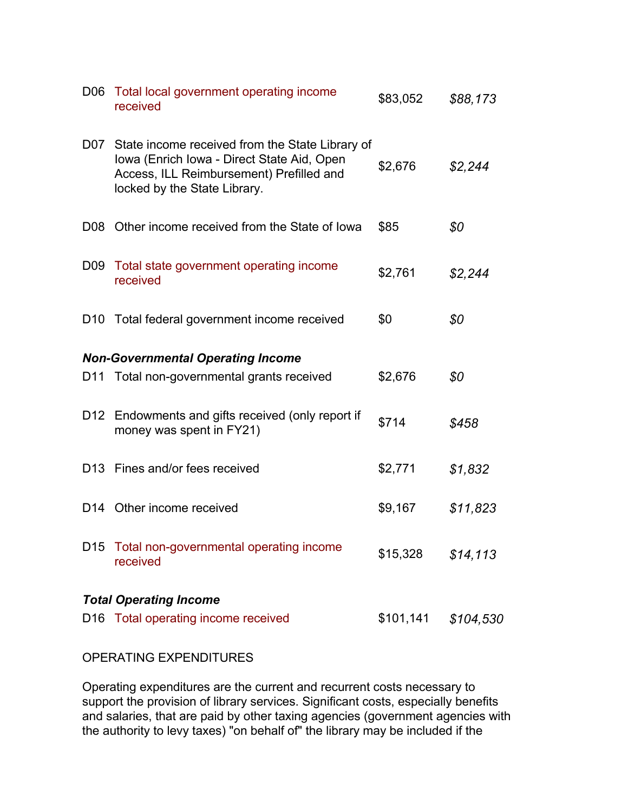| D06             | Total local government operating income<br>received                                                                                                                           | \$83,052  | \$88,173  |
|-----------------|-------------------------------------------------------------------------------------------------------------------------------------------------------------------------------|-----------|-----------|
|                 | D07 State income received from the State Library of<br>Iowa (Enrich Iowa - Direct State Aid, Open<br>Access, ILL Reimbursement) Prefilled and<br>locked by the State Library. | \$2,676   | \$2,244   |
| D08             | Other income received from the State of Iowa                                                                                                                                  | \$85      | \$0       |
| D09             | Total state government operating income<br>received                                                                                                                           | \$2,761   | \$2,244   |
|                 | D10 Total federal government income received                                                                                                                                  | \$0       | \$0       |
|                 | <b>Non-Governmental Operating Income</b>                                                                                                                                      |           |           |
|                 | D11 Total non-governmental grants received                                                                                                                                    | \$2,676   | \$0       |
|                 | D12 Endowments and gifts received (only report if<br>money was spent in FY21)                                                                                                 | \$714     | \$458     |
|                 | D13 Fines and/or fees received                                                                                                                                                | \$2,771   | \$1,832   |
| D14             | Other income received                                                                                                                                                         | \$9,167   | \$11,823  |
| D <sub>15</sub> | Total non-governmental operating income<br>received                                                                                                                           | \$15,328  | \$14, 113 |
|                 | <b>Total Operating Income</b>                                                                                                                                                 |           |           |
| D16             | Total operating income received                                                                                                                                               | \$101,141 | \$104,530 |

#### OPERATING EXPENDITURES

Operating expenditures are the current and recurrent costs necessary to support the provision of library services. Significant costs, especially benefits and salaries, that are paid by other taxing agencies (government agencies with the authority to levy taxes) "on behalf of" the library may be included if the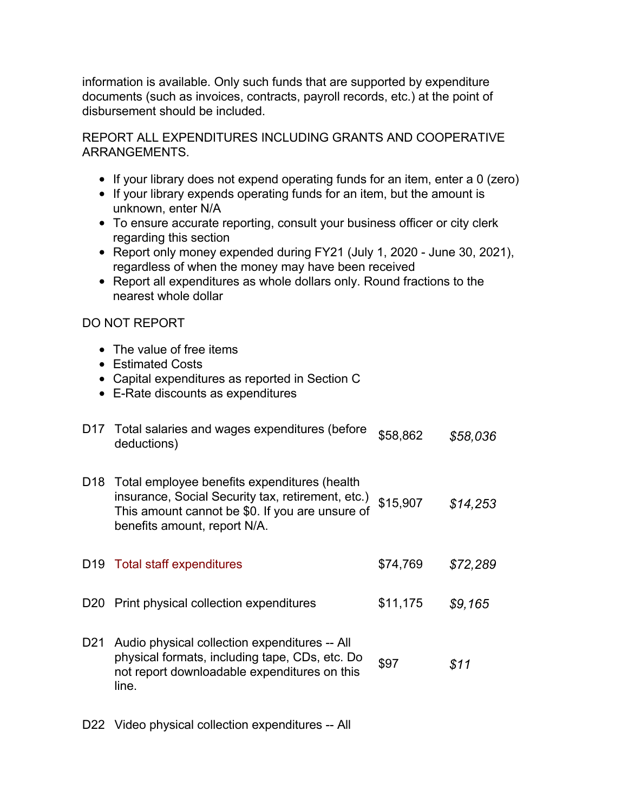information is available. Only such funds that are supported by expenditure documents (such as invoices, contracts, payroll records, etc.) at the point of disbursement should be included.

REPORT ALL EXPENDITURES INCLUDING GRANTS AND COOPERATIVE ARRANGEMENTS.

- If your library does not expend operating funds for an item, enter a 0 (zero)
- If your library expends operating funds for an item, but the amount is unknown, enter N/A
- To ensure accurate reporting, consult your business officer or city clerk regarding this section
- Report only money expended during FY21 (July 1, 2020 June 30, 2021), regardless of when the money may have been received
- Report all expenditures as whole dollars only. Round fractions to the nearest whole dollar

## DO NOT REPORT

- The value of free items
- Estimated Costs
- Capital expenditures as reported in Section C
- E-Rate discounts as expenditures

| D17 Total salaries and wages expenditures (before | \$58,862 | \$58,036 |
|---------------------------------------------------|----------|----------|
| deductions)                                       |          |          |

D18 Total employee benefits expenditures (health insurance, Social Security tax, retirement, etc.) This amount cannot be \$0. If you are unsure of benefits amount, report N/A. \$15,907 *\$14,253*

D19 Total staff expenditures \$74,769 *\$72,289*

- D20 Print physical collection expenditures \$11,175 *\$9,165*
- D21 Audio physical collection expenditures -- All physical formats, including tape, CDs, etc. Do not report downloadable expenditures on this line. \$97 *\$11*
- D22 Video physical collection expenditures -- All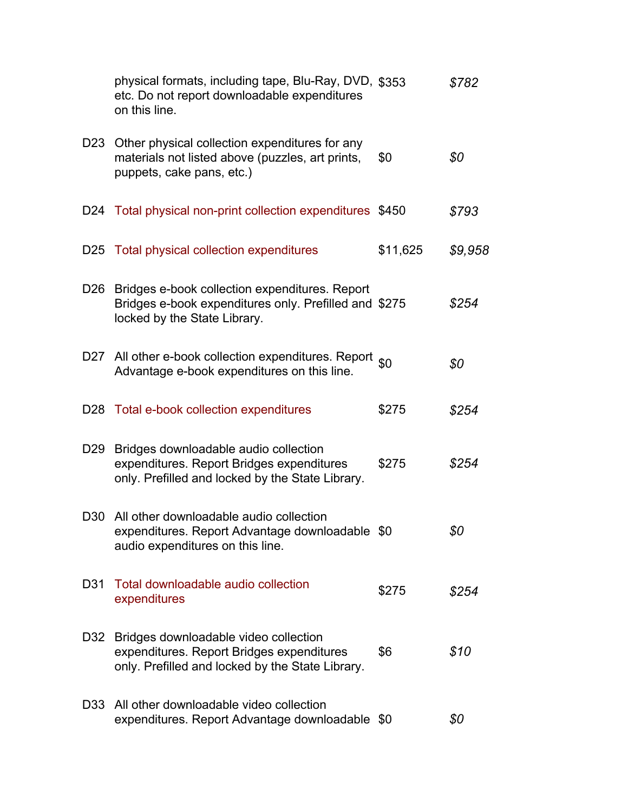|                 | physical formats, including tape, Blu-Ray, DVD, \$353<br>etc. Do not report downloadable expenditures<br>on this line.                  |          | \$782   |
|-----------------|-----------------------------------------------------------------------------------------------------------------------------------------|----------|---------|
| D23             | Other physical collection expenditures for any<br>materials not listed above (puzzles, art prints,<br>puppets, cake pans, etc.)         | \$0      | \$0     |
|                 | D24 Total physical non-print collection expenditures \$450                                                                              |          | \$793   |
|                 | D25 Total physical collection expenditures                                                                                              | \$11,625 | \$9,958 |
| D <sub>26</sub> | Bridges e-book collection expenditures. Report<br>Bridges e-book expenditures only. Prefilled and \$275<br>locked by the State Library. |          | \$254   |
|                 | D27 All other e-book collection expenditures. Report so<br>Advantage e-book expenditures on this line.                                  |          | \$0     |
|                 | D28 Total e-book collection expenditures                                                                                                | \$275    | \$254   |
| D <sub>29</sub> | Bridges downloadable audio collection<br>expenditures. Report Bridges expenditures<br>only. Prefilled and locked by the State Library.  | \$275    | \$254   |
|                 | D30 All other downloadable audio collection<br>expenditures. Report Advantage downloadable \$0<br>audio expenditures on this line.      |          | \$0     |
| D31             | Total downloadable audio collection<br>expenditures                                                                                     | \$275    | \$254   |
| D32             | Bridges downloadable video collection<br>expenditures. Report Bridges expenditures<br>only. Prefilled and locked by the State Library.  | \$6      | \$10    |
| D <sub>33</sub> | All other downloadable video collection<br>expenditures. Report Advantage downloadable \$0                                              |          | \$0     |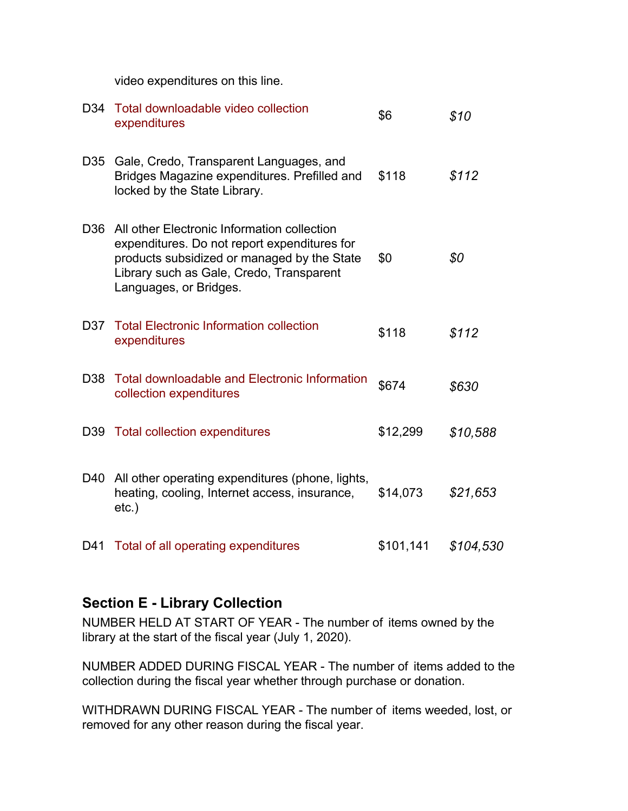video expenditures on this line.

|                 | D34 Total downloadable video collection<br>expenditures                                                                                                                                                          | \$6       | \$10      |
|-----------------|------------------------------------------------------------------------------------------------------------------------------------------------------------------------------------------------------------------|-----------|-----------|
| D35             | Gale, Credo, Transparent Languages, and<br>Bridges Magazine expenditures. Prefilled and<br>locked by the State Library.                                                                                          | \$118     | \$112     |
| D36             | All other Electronic Information collection<br>expenditures. Do not report expenditures for<br>products subsidized or managed by the State<br>Library such as Gale, Credo, Transparent<br>Languages, or Bridges. | \$0       | \$0       |
| D37             | <b>Total Electronic Information collection</b><br>expenditures                                                                                                                                                   | \$118     | \$112     |
| D <sub>38</sub> | <b>Total downloadable and Electronic Information</b><br>collection expenditures                                                                                                                                  | \$674     | \$630     |
| D39             | <b>Total collection expenditures</b>                                                                                                                                                                             | \$12,299  | \$10,588  |
|                 | D40 All other operating expenditures (phone, lights,<br>heating, cooling, Internet access, insurance,<br>$etc.$ )                                                                                                | \$14,073  | \$21,653  |
| D41             | Total of all operating expenditures                                                                                                                                                                              | \$101,141 | \$104,530 |

## **Section E - Library Collection**

NUMBER HELD AT START OF YEAR - The number of items owned by the library at the start of the fiscal year (July 1, 2020).

NUMBER ADDED DURING FISCAL YEAR - The number of items added to the collection during the fiscal year whether through purchase or donation.

WITHDRAWN DURING FISCAL YEAR - The number of items weeded, lost, or removed for any other reason during the fiscal year.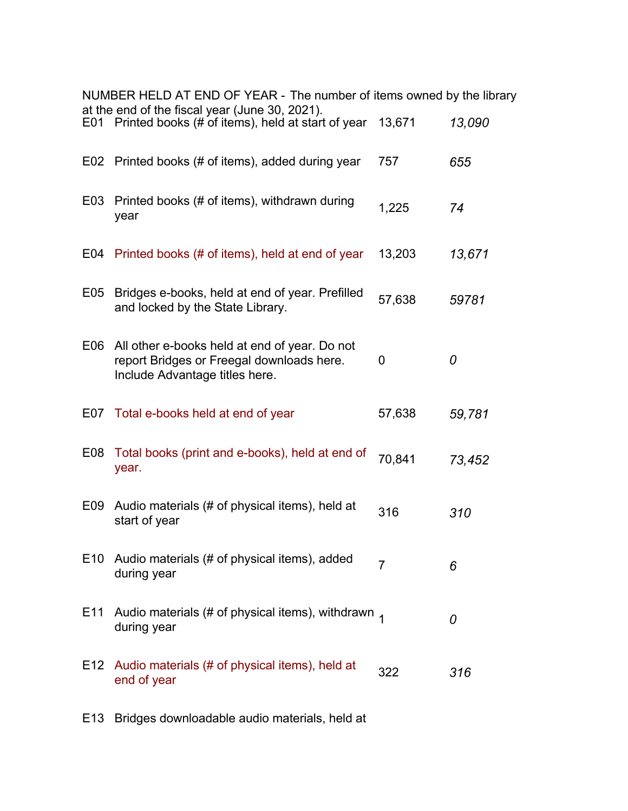|                 | NUMBER HELD AT END OF YEAR - The number of items owned by the library                                                        |                |        |
|-----------------|------------------------------------------------------------------------------------------------------------------------------|----------------|--------|
|                 | at the end of the fiscal year (June 30, 2021).<br>E01 Printed books (# of items), held at start of year                      | 13,671         | 13,090 |
|                 | E02 Printed books (# of items), added during year                                                                            | 757            | 655    |
| E <sub>03</sub> | Printed books (# of items), withdrawn during<br>year                                                                         | 1,225          | 74     |
|                 | E04 Printed books (# of items), held at end of year                                                                          | 13,203         | 13,671 |
| E05             | Bridges e-books, held at end of year. Prefilled<br>and locked by the State Library.                                          | 57,638         | 59781  |
| E06             | All other e-books held at end of year. Do not<br>report Bridges or Freegal downloads here.<br>Include Advantage titles here. | 0              | 0      |
|                 | E07 Total e-books held at end of year                                                                                        | 57,638         | 59,781 |
| E <sub>08</sub> | Total books (print and e-books), held at end of<br>year.                                                                     | 70,841         | 73,452 |
| E09             | Audio materials (# of physical items), held at<br>start of year                                                              | 316            | 310    |
| E <sub>10</sub> | Audio materials (# of physical items), added<br>during year                                                                  | $\overline{7}$ | 6      |
| E11             | Audio materials (# of physical items), withdrawn $_1$<br>during year                                                         |                | 0      |
| E12             | Audio materials (# of physical items), held at<br>end of year                                                                | 322            | 316    |

E13 Bridges downloadable audio materials, held at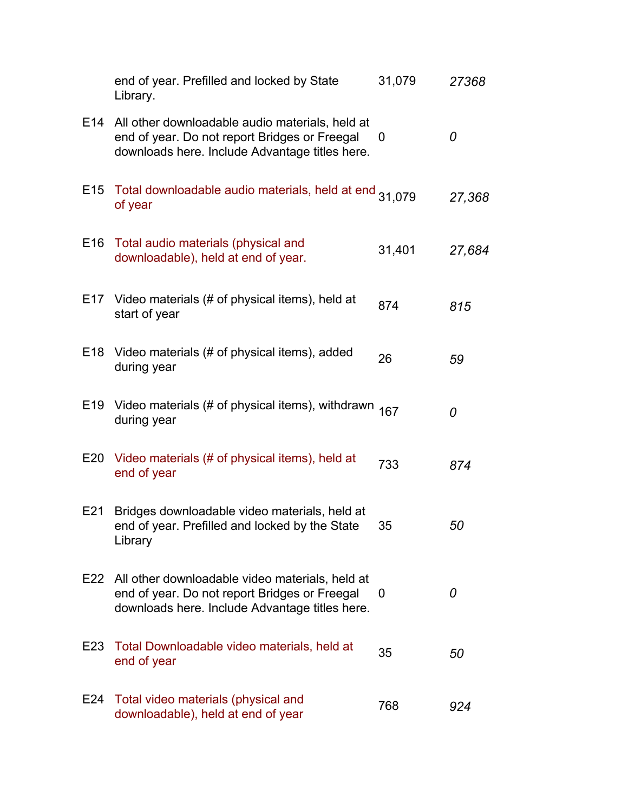|                 | end of year. Prefilled and locked by State<br>Library.                                                                                             | 31,079 | 27368  |
|-----------------|----------------------------------------------------------------------------------------------------------------------------------------------------|--------|--------|
| E14             | All other downloadable audio materials, held at<br>end of year. Do not report Bridges or Freegal<br>downloads here. Include Advantage titles here. | 0      | 0      |
| E <sub>15</sub> | Total downloadable audio materials, held at end 31,079<br>of year                                                                                  |        | 27,368 |
| E <sub>16</sub> | Total audio materials (physical and<br>downloadable), held at end of year.                                                                         | 31,401 | 27,684 |
| E17             | Video materials (# of physical items), held at<br>start of year                                                                                    | 874    | 815    |
| E <sub>18</sub> | Video materials (# of physical items), added<br>during year                                                                                        | 26     | 59     |
| E <sub>19</sub> | Video materials (# of physical items), withdrawn $167$<br>during year                                                                              |        | 0      |
| E20             | Video materials (# of physical items), held at<br>end of year                                                                                      | 733    | 874    |
| E21             | Bridges downloadable video materials, held at<br>end of year. Prefilled and locked by the State<br>Library                                         | 35     | 50     |
| E22             | All other downloadable video materials, held at<br>end of year. Do not report Bridges or Freegal<br>downloads here. Include Advantage titles here. | 0      | 0      |
| E23             | Total Downloadable video materials, held at<br>end of year                                                                                         | 35     | 50     |
| E24             | Total video materials (physical and<br>downloadable), held at end of year                                                                          | 768    | 924    |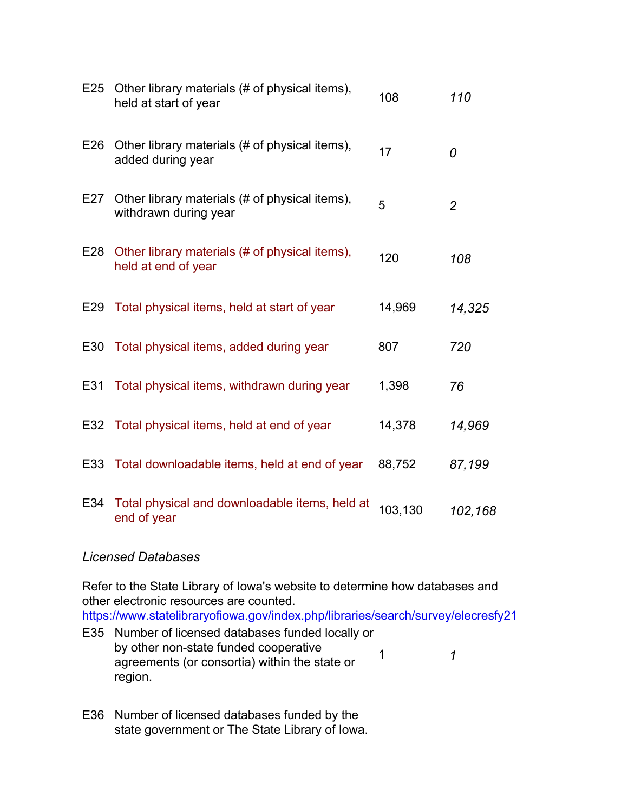| E25 | Other library materials (# of physical items),<br>held at start of year | 108     | 110            |
|-----|-------------------------------------------------------------------------|---------|----------------|
| E26 | Other library materials (# of physical items),<br>added during year     | 17      | 0              |
| E27 | Other library materials (# of physical items),<br>withdrawn during year | 5       | $\overline{2}$ |
| E28 | Other library materials (# of physical items),<br>held at end of year   | 120     | 108            |
| E29 | Total physical items, held at start of year                             | 14,969  | 14,325         |
| E30 | Total physical items, added during year                                 | 807     | 720            |
| E31 | Total physical items, withdrawn during year                             | 1,398   | 76             |
|     | E32 Total physical items, held at end of year                           | 14,378  | 14,969         |
| E33 | Total downloadable items, held at end of year                           | 88,752  | 87,199         |
| E34 | Total physical and downloadable items, held at<br>end of year           | 103,130 | 102,168        |

#### *Licensed Databases*

Refer to the State Library of Iowa's website to determine how databases and other electronic resources are counted. <https://www.statelibraryofiowa.gov/index.php/libraries/search/survey/elecresfy21> E35 Number of licensed databases funded locally or

- by other non-state funded cooperative agreements (or consortia) within the state or region. 1 *1*
- E36 Number of licensed databases funded by the state government or The State Library of Iowa.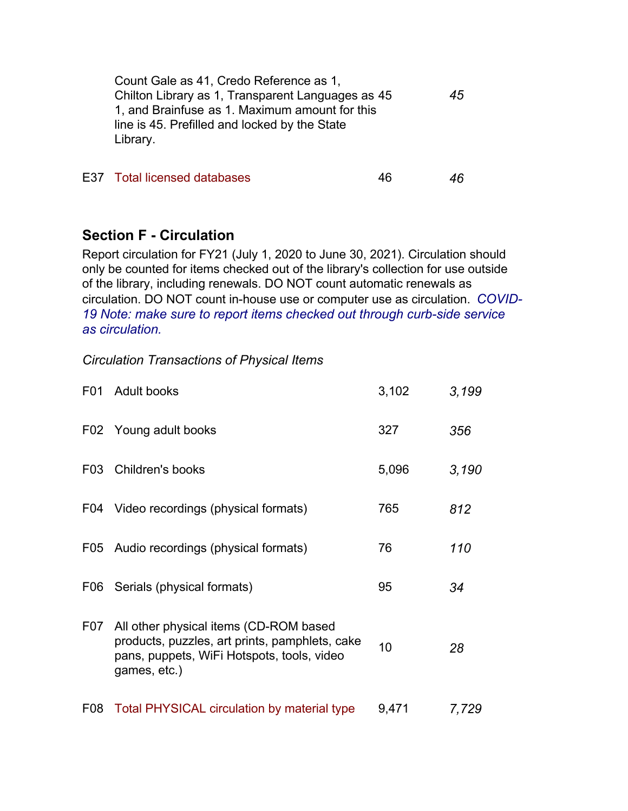| Count Gale as 41, Credo Reference as 1,           |    |
|---------------------------------------------------|----|
| Chilton Library as 1, Transparent Languages as 45 | 45 |
| 1, and Brainfuse as 1. Maximum amount for this    |    |
| line is 45. Prefilled and locked by the State     |    |
| Library.                                          |    |
|                                                   |    |

E37 Total licensed databases 46 *46*

## **Section F - Circulation**

Report circulation for FY21 (July 1, 2020 to June 30, 2021). Circulation should only be counted for items checked out of the library's collection for use outside of the library, including renewals. DO NOT count automatic renewals as circulation. DO NOT count in-house use or computer use as circulation. *COVID-19 Note: make sure to report items checked out through curb-side service as circulation.*

#### *Circulation Transactions of Physical Items*

| F <sub>0</sub> 1 | <b>Adult books</b>                                                                                                                                     | 3,102 | 3,199 |
|------------------|--------------------------------------------------------------------------------------------------------------------------------------------------------|-------|-------|
|                  | F02 Young adult books                                                                                                                                  | 327   | 356   |
| F <sub>0</sub> 3 | Children's books                                                                                                                                       | 5,096 | 3,190 |
| F04              | Video recordings (physical formats)                                                                                                                    | 765   | 812   |
|                  | F05 Audio recordings (physical formats)                                                                                                                | 76    | 110   |
| F06              | Serials (physical formats)                                                                                                                             | 95    | 34    |
| F07              | All other physical items (CD-ROM based<br>products, puzzles, art prints, pamphlets, cake<br>pans, puppets, WiFi Hotspots, tools, video<br>games, etc.) | 10    | 28    |
| F <sub>0</sub> 8 | Total PHYSICAL circulation by material type                                                                                                            | 9,471 | 7,729 |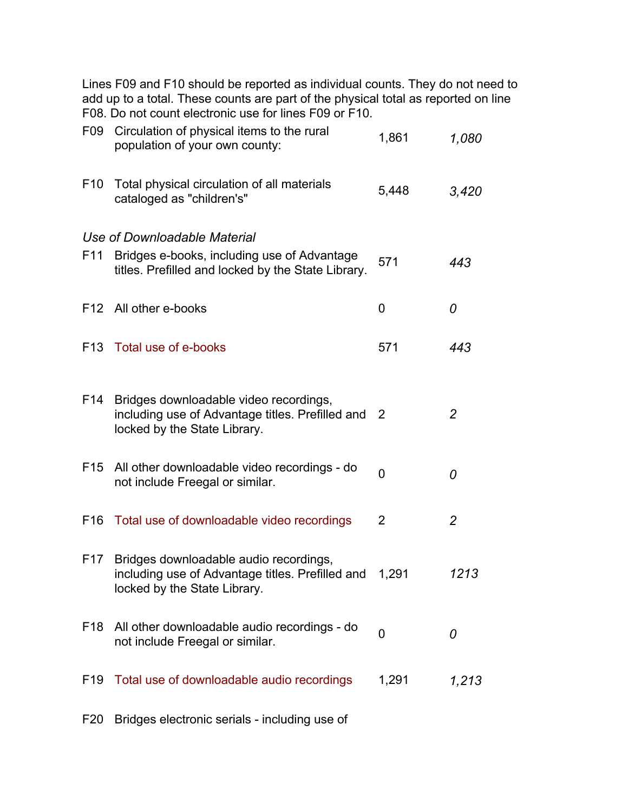Lines F09 and F10 should be reported as individual counts. They do not need to add up to a total. These counts are part of the physical total as reported on line F08. Do not count electronic use for lines F09 or F10.

| F09             | Circulation of physical items to the rural<br>population of your own county:                                               | 1,861    | 1,080          |
|-----------------|----------------------------------------------------------------------------------------------------------------------------|----------|----------------|
| F <sub>10</sub> | Total physical circulation of all materials<br>cataloged as "children's"                                                   | 5,448    | 3,420          |
|                 | Use of Downloadable Material                                                                                               |          |                |
| F <sub>11</sub> | Bridges e-books, including use of Advantage<br>titles. Prefilled and locked by the State Library.                          | 571      | 443            |
|                 | F12 All other e-books                                                                                                      | 0        | 0              |
| F <sub>13</sub> | Total use of e-books                                                                                                       | 571      | 443            |
| F14             | Bridges downloadable video recordings,<br>including use of Advantage titles. Prefilled and<br>locked by the State Library. | 2        | $\overline{2}$ |
| F <sub>15</sub> | All other downloadable video recordings - do<br>not include Freegal or similar.                                            | $\Omega$ | 0              |
| F <sub>16</sub> | Total use of downloadable video recordings                                                                                 | 2        | 2              |
| F <sub>17</sub> | Bridges downloadable audio recordings,<br>including use of Advantage titles. Prefilled and<br>locked by the State Library. | 1,291    | 1213           |
| F <sub>18</sub> | All other downloadable audio recordings - do<br>not include Freegal or similar.                                            | 0        | 0              |
| F <sub>19</sub> | Total use of downloadable audio recordings                                                                                 | 1,291    | 1,213          |
|                 |                                                                                                                            |          |                |

F20 Bridges electronic serials - including use of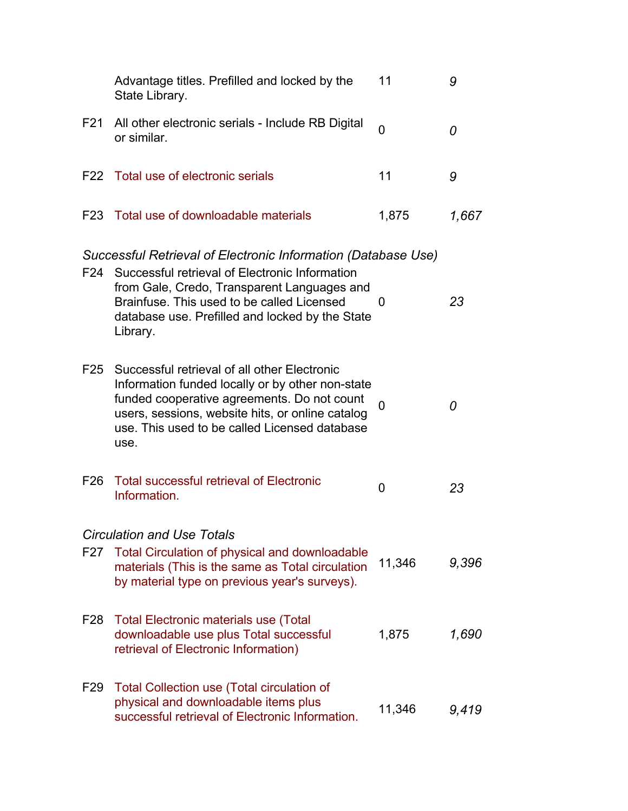|                 | Advantage titles. Prefilled and locked by the<br>State Library.                                                                                                                                                                                              | 11       | 9     |
|-----------------|--------------------------------------------------------------------------------------------------------------------------------------------------------------------------------------------------------------------------------------------------------------|----------|-------|
| F21             | All other electronic serials - Include RB Digital<br>or similar.                                                                                                                                                                                             | $\Omega$ | 0     |
|                 | F22 Total use of electronic serials                                                                                                                                                                                                                          | 11       | 9     |
|                 | F23 Total use of downloadable materials                                                                                                                                                                                                                      | 1,875    | 1,667 |
|                 | Successful Retrieval of Electronic Information (Database Use)                                                                                                                                                                                                |          |       |
|                 | F24 Successful retrieval of Electronic Information<br>from Gale, Credo, Transparent Languages and<br>Brainfuse. This used to be called Licensed<br>database use. Prefilled and locked by the State<br>Library.                                               | O        | 23    |
| F25             | Successful retrieval of all other Electronic<br>Information funded locally or by other non-state<br>funded cooperative agreements. Do not count<br>users, sessions, website hits, or online catalog<br>use. This used to be called Licensed database<br>use. | 0        | 0     |
| F26             | <b>Total successful retrieval of Electronic</b><br>Information.                                                                                                                                                                                              | 0        | 23    |
|                 | <b>Circulation and Use Totals</b>                                                                                                                                                                                                                            |          |       |
| F <sub>27</sub> | <b>Total Circulation of physical and downloadable</b><br>materials (This is the same as Total circulation<br>by material type on previous year's surveys).                                                                                                   | 11,346   | 9,396 |
| F28             | <b>Total Electronic materials use (Total</b><br>downloadable use plus Total successful<br>retrieval of Electronic Information)                                                                                                                               | 1,875    | 1,690 |
| F <sub>29</sub> | <b>Total Collection use (Total circulation of</b><br>physical and downloadable items plus<br>successful retrieval of Electronic Information.                                                                                                                 | 11,346   | 9,419 |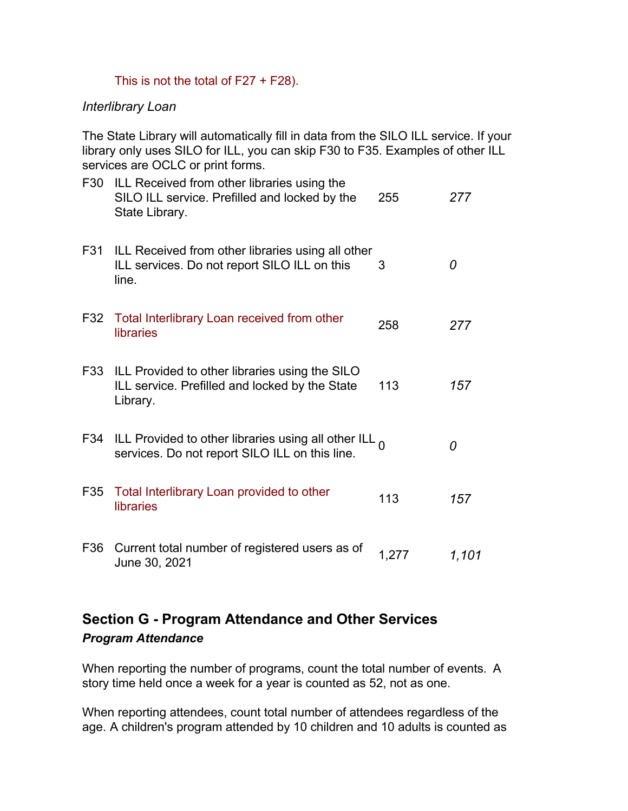#### This is not the total of  $F27 + F28$ ).

#### *Interlibrary Loan*

The State Library will automatically fill in data from the SILO ILL service. If your library only uses SILO for ILL, you can skip F30 to F35. Examples of other ILL services are OCLC or print forms.

| F30 | ILL Received from other libraries using the<br>SILO ILL service. Prefilled and locked by the<br>State Library.   | 255   | 277   |
|-----|------------------------------------------------------------------------------------------------------------------|-------|-------|
| F31 | ILL Received from other libraries using all other<br>ILL services. Do not report SILO ILL on this<br>line.       | 3     | 0     |
|     | F32 Total Interlibrary Loan received from other<br>libraries                                                     | 258   | 277   |
|     | F33 ILL Provided to other libraries using the SILO<br>ILL service. Prefilled and locked by the State<br>Library. | 113   | 157   |
|     | F34 ILL Provided to other libraries using all other ILL $_0$<br>services. Do not report SILO ILL on this line.   |       | 0     |
| F35 | Total Interlibrary Loan provided to other<br>libraries                                                           | 113   | 157   |
| F36 | Current total number of registered users as of<br>June 30, 2021                                                  | 1,277 | 1,101 |

# **Section G - Program Attendance and Other Services** *Program Attendance*

When reporting the number of programs, count the total number of events. A story time held once a week for a year is counted as 52, not as one.

When reporting attendees, count total number of attendees regardless of the age. A children's program attended by 10 children and 10 adults is counted as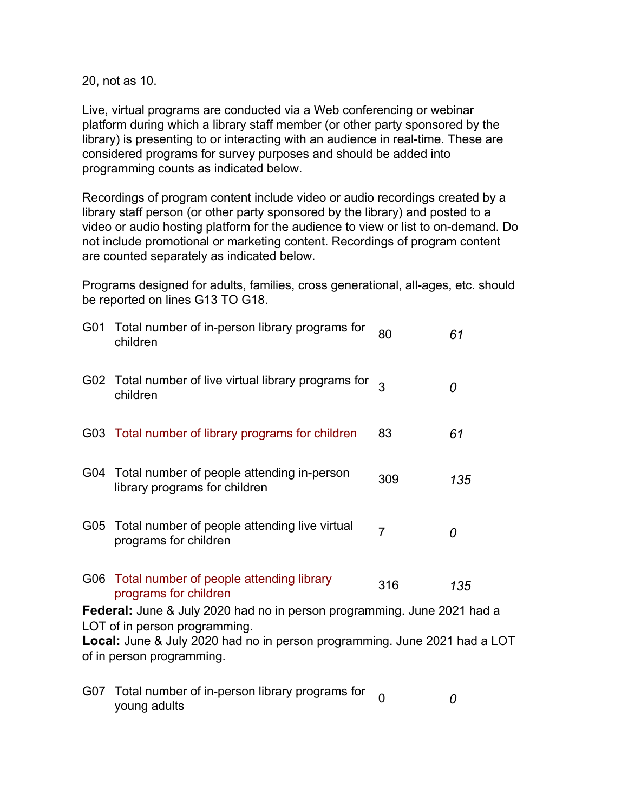20, not as 10.

Live, virtual programs are conducted via a Web conferencing or webinar platform during which a library staff member (or other party sponsored by the library) is presenting to or interacting with an audience in real-time. These are considered programs for survey purposes and should be added into programming counts as indicated below.

Recordings of program content include video or audio recordings created by a library staff person (or other party sponsored by the library) and posted to a video or audio hosting platform for the audience to view or list to on-demand. Do not include promotional or marketing content. Recordings of program content are counted separately as indicated below.

Programs designed for adults, families, cross generational, all-ages, etc. should be reported on lines G13 TO G18.

|     | G01 Total number of in-person library programs for<br>children                                                | 80             | 61  |
|-----|---------------------------------------------------------------------------------------------------------------|----------------|-----|
|     | G02 Total number of live virtual library programs for<br>children                                             | $\mathbf{B}$   | 0   |
|     | G03 Total number of library programs for children                                                             | 83             | 61  |
|     | G04 Total number of people attending in-person<br>library programs for children                               | 309            | 135 |
| G05 | Total number of people attending live virtual<br>programs for children                                        | $\overline{7}$ | 0   |
|     | G06 Total number of people attending library<br>programs for children                                         | 316            | 135 |
|     | <b>Federal:</b> June & July 2020 had no in person programming. June 2021 had a                                |                |     |
|     | LOT of in person programming.                                                                                 |                |     |
|     | <b>Local:</b> June & July 2020 had no in person programming. June 2021 had a LOT<br>of in person programming. |                |     |
|     |                                                                                                               |                |     |
| G07 | Total number of in-person library programs for<br>young adults                                                | $\Omega$       | 0   |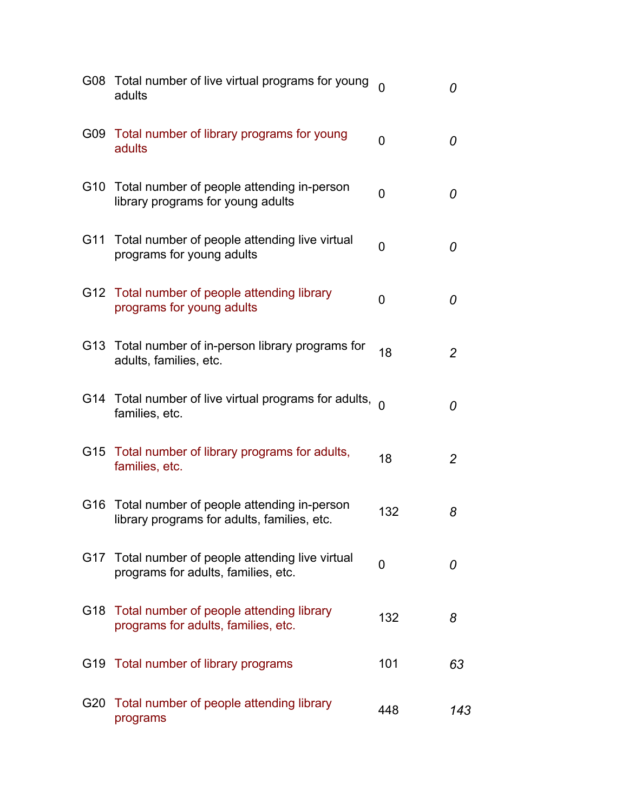|     | G08 Total number of live virtual programs for young<br>adults                             |                | 0              |
|-----|-------------------------------------------------------------------------------------------|----------------|----------------|
|     | G09 Total number of library programs for young<br>adults                                  | 0              | 0              |
|     | G10 Total number of people attending in-person<br>library programs for young adults       | $\Omega$       | 0              |
| G11 | Total number of people attending live virtual<br>programs for young adults                | $\overline{0}$ | 0              |
|     | G12 Total number of people attending library<br>programs for young adults                 | $\overline{0}$ | 0              |
|     | G13 Total number of in-person library programs for<br>adults, families, etc.              | 18             | $\overline{2}$ |
|     | G14 Total number of live virtual programs for adults, $_0$<br>families, etc.              |                | 0              |
|     | G15 Total number of library programs for adults,<br>families, etc.                        | 18             | 2              |
| G16 | Total number of people attending in-person<br>library programs for adults, families, etc. | 132            | 8              |
| G17 | Total number of people attending live virtual<br>programs for adults, families, etc.      | 0              | 0              |
|     | G18 Total number of people attending library<br>programs for adults, families, etc.       | 132            | 8              |
| G19 | Total number of library programs                                                          | 101            | 63             |
| G20 | Total number of people attending library<br>programs                                      | 448            | 143            |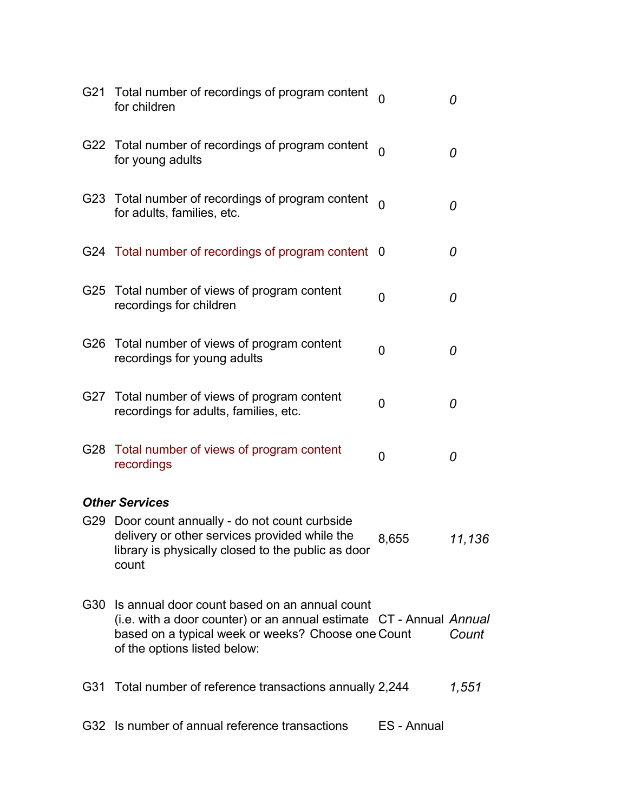| G21 | Total number of recordings of program content<br>for children                                                                                                                                              |                | 0      |
|-----|------------------------------------------------------------------------------------------------------------------------------------------------------------------------------------------------------------|----------------|--------|
|     | G22 Total number of recordings of program content<br>for young adults                                                                                                                                      |                | 0      |
|     | G23 Total number of recordings of program content<br>for adults, families, etc.                                                                                                                            |                | 0      |
|     | G24 Total number of recordings of program content 0                                                                                                                                                        |                | 0      |
|     | G25 Total number of views of program content<br>recordings for children                                                                                                                                    | 0              | 0      |
| G26 | Total number of views of program content<br>recordings for young adults                                                                                                                                    | $\overline{0}$ | 0      |
| G27 | Total number of views of program content<br>recordings for adults, families, etc.                                                                                                                          | $\overline{0}$ | 0      |
|     | G28 Total number of views of program content<br>recordings                                                                                                                                                 | 0              | 0      |
|     | <b>Other Services</b>                                                                                                                                                                                      |                |        |
| G29 | Door count annually - do not count curbside<br>delivery or other services provided while the<br>library is physically closed to the public as door<br>count                                                | 8,655          | 11,136 |
| G30 | Is annual door count based on an annual count<br>(i.e. with a door counter) or an annual estimate CT - Annual Annual<br>based on a typical week or weeks? Choose one Count<br>of the options listed below: |                | Count  |
|     | G31 Total number of reference transactions annually 2,244                                                                                                                                                  |                | 1,551  |
|     | G32 Is number of annual reference transactions                                                                                                                                                             | ES - Annual    |        |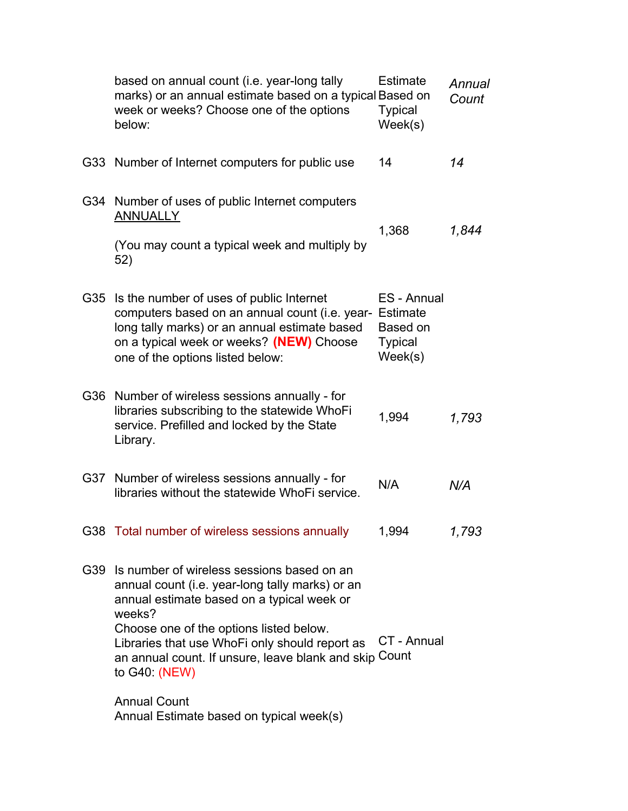|     | based on annual count (i.e. year-long tally<br>marks) or an annual estimate based on a typical Based on<br>week or weeks? Choose one of the options<br>below:                                                                                                                                                                                            | Estimate<br><b>Typical</b><br>Week(s)                | Annual<br>Count |
|-----|----------------------------------------------------------------------------------------------------------------------------------------------------------------------------------------------------------------------------------------------------------------------------------------------------------------------------------------------------------|------------------------------------------------------|-----------------|
|     | G33 Number of Internet computers for public use                                                                                                                                                                                                                                                                                                          | 14                                                   | 14              |
|     | G34 Number of uses of public Internet computers<br><b>ANNUALLY</b><br>(You may count a typical week and multiply by<br>52)                                                                                                                                                                                                                               | 1,368                                                | 1,844           |
| G35 | Is the number of uses of public Internet<br>computers based on an annual count (i.e. year- Estimate<br>long tally marks) or an annual estimate based<br>on a typical week or weeks? (NEW) Choose<br>one of the options listed below:                                                                                                                     | ES - Annual<br>Based on<br><b>Typical</b><br>Week(s) |                 |
| G36 | Number of wireless sessions annually - for<br>libraries subscribing to the statewide WhoFi<br>service. Prefilled and locked by the State<br>Library.                                                                                                                                                                                                     | 1,994                                                | 1,793           |
|     | G37 Number of wireless sessions annually - for<br>libraries without the statewide WhoFi service.                                                                                                                                                                                                                                                         | N/A                                                  | N/A             |
|     | G38 Total number of wireless sessions annually                                                                                                                                                                                                                                                                                                           | 1,994                                                | 1,793           |
|     | G39 Is number of wireless sessions based on an<br>annual count (i.e. year-long tally marks) or an<br>annual estimate based on a typical week or<br>weeks?<br>Choose one of the options listed below.<br>Libraries that use WhoFi only should report as<br>an annual count. If unsure, leave blank and skip Count<br>to G40: (NEW)<br><b>Annual Count</b> | CT - Annual                                          |                 |
|     | Annual Estimate based on typical week(s)                                                                                                                                                                                                                                                                                                                 |                                                      |                 |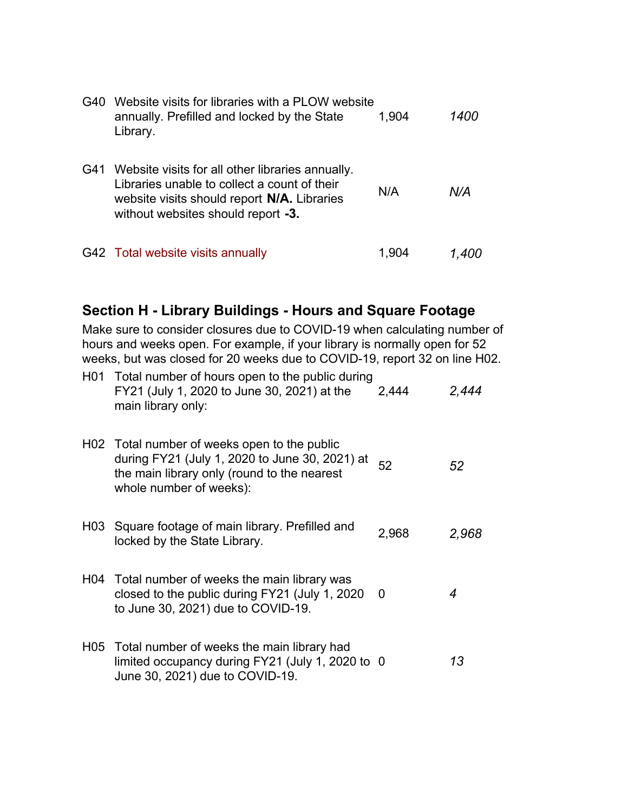| G40 | Website visits for libraries with a PLOW website<br>annually. Prefilled and locked by the State<br>Library.                                                                           | 1,904 | <i>1400</i> |
|-----|---------------------------------------------------------------------------------------------------------------------------------------------------------------------------------------|-------|-------------|
| G41 | Website visits for all other libraries annually.<br>Libraries unable to collect a count of their<br>website visits should report N/A. Libraries<br>without websites should report -3. | N/A   | N/A         |
|     | G42 Total website visits annually                                                                                                                                                     | 1.904 |             |

## **Section H - Library Buildings - Hours and Square Footage**

Make sure to consider closures due to COVID-19 when calculating number of hours and weeks open. For example, if your library is normally open for 52 weeks, but was closed for 20 weeks due to COVID-19, report 32 on line H02.

| H01 Total number of hours open to the public during<br>FY21 (July 1, 2020 to June 30, 2021) at the<br>main library only:                                                 | 2,444 | 2,444 |
|--------------------------------------------------------------------------------------------------------------------------------------------------------------------------|-------|-------|
| H02 Total number of weeks open to the public<br>during FY21 (July 1, 2020 to June 30, 2021) at<br>the main library only (round to the nearest<br>whole number of weeks): | 52    | 52    |
| H03 Square footage of main library. Prefilled and<br>locked by the State Library.                                                                                        | 2,968 | 2,968 |
| H04 Total number of weeks the main library was<br>closed to the public during FY21 (July 1, 2020)<br>to June 30, 2021) due to COVID-19.                                  | 0     | 4     |
| H05 Total number of weeks the main library had<br>limited occupancy during FY21 (July 1, 2020 to 0<br>June 30, 2021) due to COVID-19.                                    |       | 13    |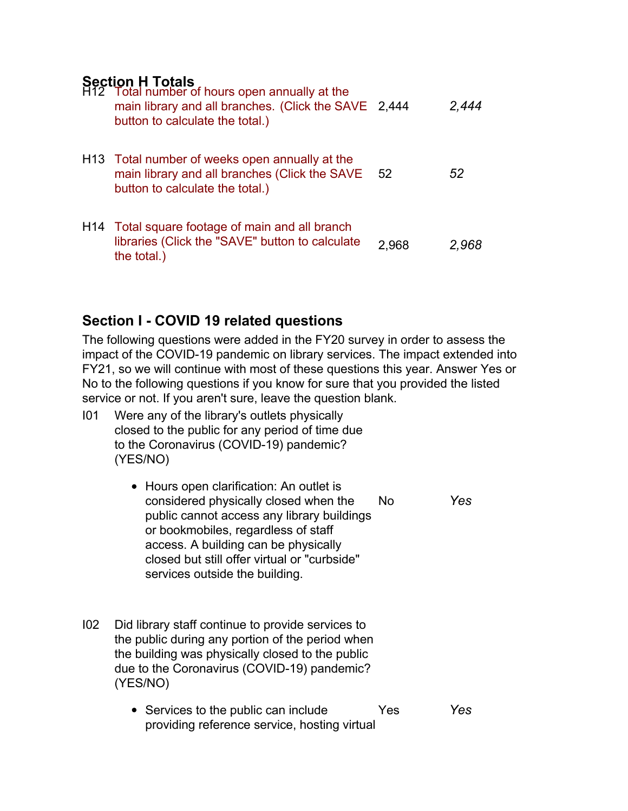## **Section H Totals**

| H12 Total number of hours open annually at the<br>main library and all branches. (Click the SAVE 2,444<br>button to calculate the total.)      |       | 2,444 |
|------------------------------------------------------------------------------------------------------------------------------------------------|-------|-------|
| H <sub>13</sub> Total number of weeks open annually at the<br>main library and all branches (Click the SAVE<br>button to calculate the total.) | 52    | 52    |
| H14 Total square footage of main and all branch<br>libraries (Click the "SAVE" button to calculate<br>the total.)                              | 2.968 | 2.968 |

# **Section I - COVID 19 related questions**

The following questions were added in the FY20 survey in order to assess the impact of the COVID-19 pandemic on library services. The impact extended into FY21, so we will continue with most of these questions this year. Answer Yes or No to the following questions if you know for sure that you provided the listed service or not. If you aren't sure, leave the question blank.

- I01 Were any of the library's outlets physically closed to the public for any period of time due to the Coronavirus (COVID-19) pandemic? (YES/NO)
	- Hours open clarification: An outlet is considered physically closed when the public cannot access any library buildings or bookmobiles, regardless of staff access. A building can be physically closed but still offer virtual or "curbside" services outside the building. No *Yes*
- I02 Did library staff continue to provide services to the public during any portion of the period when the building was physically closed to the public due to the Coronavirus (COVID-19) pandemic? (YES/NO)
	- Services to the public can include providing reference service, hosting virtual Yes *Yes*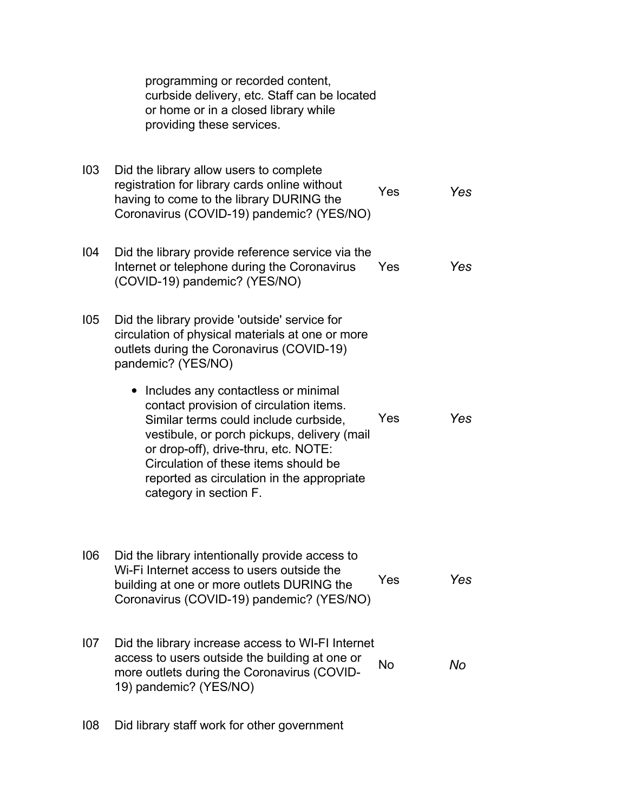|     | programming or recorded content,<br>curbside delivery, etc. Staff can be located<br>or home or in a closed library while<br>providing these services.                                                                                                                                                                                                                                                                                                                                                               |     |     |
|-----|---------------------------------------------------------------------------------------------------------------------------------------------------------------------------------------------------------------------------------------------------------------------------------------------------------------------------------------------------------------------------------------------------------------------------------------------------------------------------------------------------------------------|-----|-----|
| 103 | Did the library allow users to complete<br>registration for library cards online without<br>having to come to the library DURING the<br>Coronavirus (COVID-19) pandemic? (YES/NO)                                                                                                                                                                                                                                                                                                                                   | Yes | Yes |
| 104 | Did the library provide reference service via the<br>Internet or telephone during the Coronavirus<br>(COVID-19) pandemic? (YES/NO)                                                                                                                                                                                                                                                                                                                                                                                  | Yes | Yes |
| 105 | Did the library provide 'outside' service for<br>circulation of physical materials at one or more<br>outlets during the Coronavirus (COVID-19)<br>pandemic? (YES/NO)<br>Includes any contactless or minimal<br>$\bullet$<br>contact provision of circulation items.<br>Similar terms could include curbside,<br>vestibule, or porch pickups, delivery (mail<br>or drop-off), drive-thru, etc. NOTE:<br>Circulation of these items should be<br>reported as circulation in the appropriate<br>category in section F. | Yes | Yes |
| 106 | Did the library intentionally provide access to<br>Wi-Fi Internet access to users outside the<br>building at one or more outlets DURING the<br>Coronavirus (COVID-19) pandemic? (YES/NO)                                                                                                                                                                                                                                                                                                                            | Yes | Yes |
| 107 | Did the library increase access to WI-FI Internet<br>access to users outside the building at one or<br>more outlets during the Coronavirus (COVID-<br>19) pandemic? (YES/NO)                                                                                                                                                                                                                                                                                                                                        | No  | No  |

I08 Did library staff work for other government